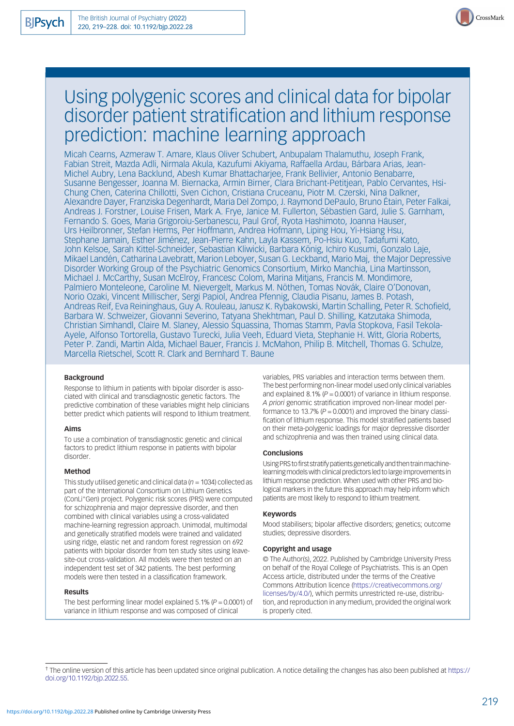

Micah Cearns, Azmeraw T. Amare, Klaus Oliver Schubert, Anbupalam Thalamuthu, Joseph Frank, Fabian Streit, Mazda Adli, Nirmala Akula, Kazufumi Akiyama, Raffaella Ardau, Bárbara Arias, Jean-Michel Aubry, Lena Backlund, Abesh Kumar Bhattacharjee, Frank Bellivier, Antonio Benabarre, Susanne Bengesser, Joanna M. Biernacka, Armin Birner, Clara Brichant-Petitjean, Pablo Cervantes, Hsi-Chung Chen, Caterina Chillotti, Sven Cichon, Cristiana Cruceanu, Piotr M. Czerski, Nina Dalkner, Alexandre Dayer, Franziska Degenhardt, Maria Del Zompo, J. Raymond DePaulo, Bruno Étain, Peter Falkai, Andreas J. Forstner, Louise Frisen, Mark A. Frye, Janice M. Fullerton, Sébastien Gard, Julie S. Garnham, Fernando S. Goes, Maria Grigoroiu-Serbanescu, Paul Grof, Ryota Hashimoto, Joanna Hauser, Urs Heilbronner, Stefan Herms, Per Hoffmann, Andrea Hofmann, Liping Hou, Yi-Hsiang Hsu, Stephane Jamain, Esther Jiménez, Jean-Pierre Kahn, Layla Kassem, Po-Hsiu Kuo, Tadafumi Kato, John Kelsoe, Sarah Kittel-Schneider, Sebastian Kliwicki, Barbara König, Ichiro Kusumi, Gonzalo Laje, Mikael Landén, Catharina Lavebratt, Marion Leboyer, Susan G. Leckband, Mario Maj, the Major Depressive Disorder Working Group of the Psychiatric Genomics Consortium, Mirko Manchia, Lina Martinsson, Michael J. McCarthy, Susan McElroy, Francesc Colom, Marina Mitjans, Francis M. Mondimore, Palmiero Monteleone, Caroline M. Nievergelt, Markus M. Nöthen, Tomas Novák, Claire O'Donovan, Norio Ozaki, Vincent Millischer, Sergi Papiol, Andrea Pfennig, Claudia Pisanu, James B. Potash, Andreas Reif, Eva Reininghaus, Guy A. Rouleau, Janusz K. Rybakowski, Martin Schalling, Peter R. Schofield, Barbara W. Schweizer, Giovanni Severino, Tatyana Shekhtman, Paul D. Shilling, Katzutaka Shimoda, Christian Simhandl, Claire M. Slaney, Alessio Squassina, Thomas Stamm, Pavla Stopkova, Fasil Tekola-Ayele, Alfonso Tortorella, Gustavo Turecki, Julia Veeh, Eduard Vieta, Stephanie H. Witt, Gloria Roberts, Peter P. Zandi, Martin Alda, Michael Bauer, Francis J. McMahon, Philip B. Mitchell, Thomas G. Schulze, Marcella Rietschel, Scott R. Clark and Bernhard T. Baune

#### Background

Response to lithium in patients with bipolar disorder is associated with clinical and transdiagnostic genetic factors. The predictive combination of these variables might help clinicians better predict which patients will respond to lithium treatment.

#### Aims

To use a combination of transdiagnostic genetic and clinical factors to predict lithium response in patients with bipolar disorder.

### Method

This study utilised genetic and clinical data ( $n = 1034$ ) collected as part of the International Consortium on Lithium Genetics (ConLi+ Gen) project. Polygenic risk scores (PRS) were computed for schizophrenia and major depressive disorder, and then combined with clinical variables using a cross-validated machine-learning regression approach. Unimodal, multimodal and genetically stratified models were trained and validated using ridge, elastic net and random forest regression on 692 patients with bipolar disorder from ten study sites using leavesite-out cross-validation. All models were then tested on an independent test set of 342 patients. The best performing models were then tested in a classification framework.

#### Results

The best performing linear model explained 5.1% ( $P = 0.0001$ ) of variance in lithium response and was composed of clinical

variables, PRS variables and interaction terms between them. The best performing non-linear model used only clinical variables and explained 8.1% ( $P = 0.0001$ ) of variance in lithium response. A priori genomic stratification improved non-linear model performance to 13.7% ( $P = 0.0001$ ) and improved the binary classification of lithium response. This model stratified patients based on their meta-polygenic loadings for major depressive disorder and schizophrenia and was then trained using clinical data.

#### Conclusions

Using PRS to first stratify patients genetically and then train machinelearningmodels with clinical predictors led to large improvements in lithium response prediction. When used with other PRS and biological markers in the future this approach may help inform which patients are most likely to respond to lithium treatment.

#### Keywords

Mood stabilisers; bipolar affective disorders; genetics; outcome studies; depressive disorders.

### Copyright and usage

© The Author(s), 2022. Published by Cambridge University Press on behalf of the Royal College of Psychiatrists. This is an Open Access article, distributed under the terms of the Creative Commons Attribution licence [\(https://creativecommons.org/](https://creativecommons.org/licenses/by/4.0/) [licenses/by/4.0/](https://creativecommons.org/licenses/by/4.0/)), which permits unrestricted re-use, distribution, and reproduction in any medium, provided the original work is properly cited.

CrossMark

<sup>†</sup> The online version of this article has been updated since original publication. A notice detailing the changes has also been published at [https://](https://doi.org/10.1192/bjp.2022.55) [doi.org/10.1192/bjp.2022.55](https://doi.org/10.1192/bjp.2022.55).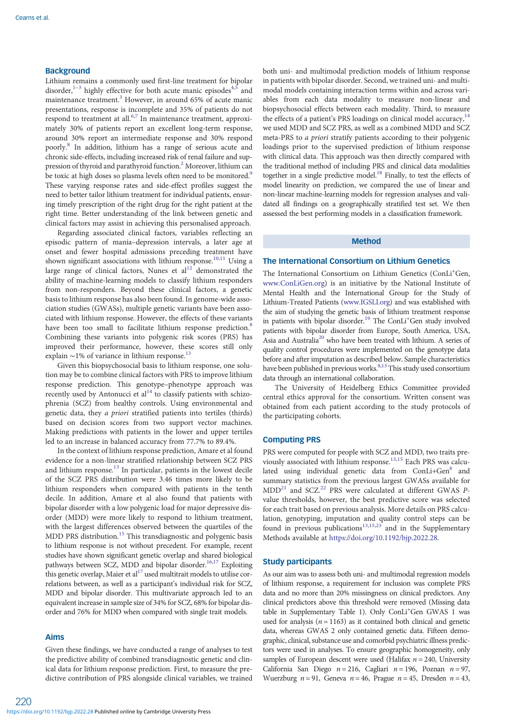# **Background**

Lithium remains a commonly used first-line treatment for bipolar disorder, $1-3$  $1-3$  $1-3$  highly effective for both acute manic episodes<sup>[4,5](#page-8-0)</sup> and maintenance treatment.<sup>[3](#page-8-0)</sup> However, in around 65% of acute manic presentations, response is incomplete and 35% of patients do not respond to treatment at all.<sup>[6](#page-8-0),[7](#page-8-0)</sup> In maintenance treatment, approximately 30% of patients report an excellent long-term response, around 30% report an intermediate response and 30% respond poorly.[8](#page-8-0) In addition, lithium has a range of serious acute and chronic side-effects, including increased risk of renal failure and suppression of thyroid and parathyroid function.<sup>2</sup> Moreover, lithium can be toxic at high doses so plasma levels often need to be monitored.<sup>9</sup> These varying response rates and side-effect profiles suggest the need to better tailor lithium treatment for individual patients, ensuring timely prescription of the right drug for the right patient at the right time. Better understanding of the link between genetic and clinical factors may assist in achieving this personalised approach.

Regarding associated clinical factors, variables reflecting an episodic pattern of mania–depression intervals, a later age at onset and fewer hospital admissions preceding treatment have shown significant associations with lithium response.<sup>[10](#page-8-0),[11](#page-8-0)</sup> Using a large range of clinical factors, Nunes et  $al<sup>12</sup>$  demonstrated the ability of machine-learning models to classify lithium responders from non-responders. Beyond these clinical factors, a genetic basis to lithium response has also been found. In genome-wide association studies (GWASs), multiple genetic variants have been associated with lithium response. However, the effects of these variants have been too small to facilitate lithium response prediction.<sup>[8](#page-8-0)</sup> Combining these variants into polygenic risk scores (PRS) has improved their performance, however, these scores still only explain  $\sim$ 1% of variance in lithium response.<sup>[13](#page-8-0)</sup>

Given this biopsychosocial basis to lithium response, one solution may be to combine clinical factors with PRS to improve lithium response prediction. This genotype–phenotype approach was recently used by Antonucci et  $al<sup>14</sup>$  $al<sup>14</sup>$  $al<sup>14</sup>$  to classify patients with schizophrenia (SCZ) from healthy controls. Using environmental and genetic data, they a priori stratified patients into tertiles (thirds) based on decision scores from two support vector machines. Making predictions with patients in the lower and upper tertiles led to an increase in balanced accuracy from 77.7% to 89.4%.

In the context of lithium response prediction, Amare et al found evidence for a non-linear stratified relationship between SCZ PRS and lithium response.<sup>[13](#page-8-0)</sup> In particular, patients in the lowest decile of the SCZ PRS distribution were 3.46 times more likely to be lithium responders when compared with patients in the tenth decile. In addition, Amare et al also found that patients with bipolar disorder with a low polygenic load for major depressive disorder (MDD) were more likely to respond to lithium treatment, with the largest differences observed between the quartiles of the MDD PRS distribution.<sup>[15](#page-8-0)</sup> This transdiagnostic and polygenic basis to lithium response is not without precedent. For example, recent studies have shown significant genetic overlap and shared biological pathways between SCZ, MDD and bipolar disorder.<sup>16,[17](#page-9-0)</sup> Exploiting this genetic overlap, Maier et al<sup>17</sup> used multitrait models to utilise correlations between, as well as a participant's individual risk for SCZ, MDD and bipolar disorder. This multivariate approach led to an equivalent increase in sample size of 34% for SCZ, 68% for bipolar disorder and 76% for MDD when compared with single trait models.

# Aims

Given these findings, we have conducted a range of analyses to test the predictive ability of combined transdiagnostic genetic and clinical data for lithium response prediction. First, to measure the predictive contribution of PRS alongside clinical variables, we trained both uni- and multimodal prediction models of lithium response in patients with bipolar disorder. Second, we trained uni- and multimodal models containing interaction terms within and across variables from each data modality to measure non-linear and biopsychosocial effects between each modality. Third, to measure the effects of a patient's PRS loadings on clinical model accuracy, $14$ we used MDD and SCZ PRS, as well as a combined MDD and SCZ meta-PRS to a priori stratify patients according to their polygenic loadings prior to the supervised prediction of lithium response with clinical data. This approach was then directly compared with the traditional method of including PRS and clinical data modalities together in a single predictive model.<sup>18</sup> Finally, to test the effects of model linearity on prediction, we compared the use of linear and non-linear machine-learning models for regression analyses and validated all findings on a geographically stratified test set. We then assessed the best performing models in a classification framework.

# Method

# The International Consortium on Lithium Genetics

The International Consortium on Lithium Genetics (ConLi<sup>+</sup>Gen, [www.ConLiGen.org\)](https://www.ConLiGen.org) is an initiative by the National Institute of Mental Health and the International Group for the Study of Lithium-Treated Patients [\(www.IGSLI.org\)](https://www.IGSLI.org) and was established with the aim of studying the genetic basis of lithium treatment response in patients with bipolar disorder.<sup>[19](#page-9-0)</sup> The ConLi<sup>+</sup>Gen study involved patients with bipolar disorder from Europe, South America, USA, Asia and Australia<sup>20</sup> who have been treated with lithium. A series of quality control procedures were implemented on the genotype data before and after imputation as described below. Sample characteristics have been published in previous works.<sup>[8,13](#page-8-0)</sup> This study used consortium data through an international collaboration.

The University of Heidelberg Ethics Committee provided central ethics approval for the consortium. Written consent was obtained from each patient according to the study protocols of the participating cohorts.

### Computing PRS

PRS were computed for people with SCZ and MDD, two traits previously associated with lithium response.[13,15](#page-8-0) Each PRS was calcu-lated using individual genetic data from ConLi+Gen<sup>[8](#page-8-0)</sup> and summary statistics from the previous largest GWASs available for MDD<sup>[21](#page-9-0)</sup> and SCZ.<sup>[22](#page-9-0)</sup> PRS were calculated at different GWAS Pvalue thresholds, however, the best predictive score was selected for each trait based on previous analysis. More details on PRS calculation, genotyping, imputation and quality control steps can be found in previous publications<sup>[13](#page-8-0),[15](#page-8-0),[23](#page-9-0)</sup> and in the Supplementary Methods available at [https://doi.org/10.1192/bjp.2022.28.](https://doi.org/10.1192/bjp.2022.28)

### Study participants

As our aim was to assess both uni- and multimodal regression models of lithium response, a requirement for inclusion was complete PRS data and no more than 20% missingness on clinical predictors. Any clinical predictors above this threshold were removed (Missing data table in Supplementary Table 1). Only ConLi<sup>+</sup>Gen GWAS 1 was used for analysis ( $n = 1163$ ) as it contained both clinical and genetic data, whereas GWAS 2 only contained genetic data. Fifteen demographic, clinical, substance use and comorbid psychiatric illness predictors were used in analyses. To ensure geographic homogeneity, only samples of European descent were used (Halifax  $n = 240$ , University California San Diego  $n = 216$ , Cagliari  $n = 196$ , Poznan  $n = 97$ , Wuerzburg  $n = 91$ , Geneva  $n = 46$ , Prague  $n = 45$ , Dresden  $n = 43$ ,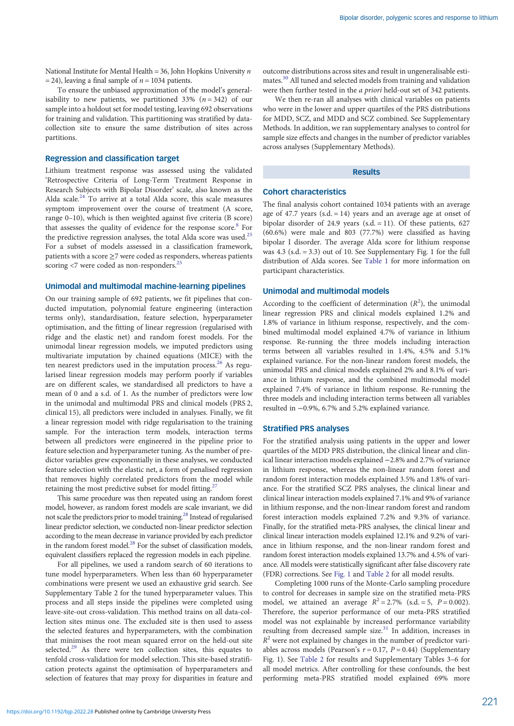National Institute for Mental Health = 36, John Hopkins University  $n$ = 24), leaving a final sample of  $n = 1034$  patients.

To ensure the unbiased approximation of the model's generalisability to new patients, we partitioned 33%  $(n = 342)$  of our sample into a holdout set for model testing, leaving 692 observations for training and validation. This partitioning was stratified by datacollection site to ensure the same distribution of sites across partitions.

### Regression and classification target

Lithium treatment response was assessed using the validated 'Retrospective Criteria of Long-Term Treatment Response in Research Subjects with Bipolar Disorder' scale, also known as the Alda scale. $24$  To arrive at a total Alda score, this scale measures symptom improvement over the course of treatment (A score, range 0–10), which is then weighted against five criteria (B score) that assesses the quality of evidence for the response score.<sup>[8](#page-8-0)</sup> For the predictive regression analyses, the total Alda score was used.<sup>[25](#page-9-0)</sup> For a subset of models assessed in a classification framework, patients with a score  $\geq$ 7 were coded as responders, whereas patients scoring <7 were coded as non-responders.<sup>[25](#page-9-0)</sup>

# Unimodal and multimodal machine-learning pipelines

On our training sample of 692 patients, we fit pipelines that conducted imputation, polynomial feature engineering (interaction terms only), standardisation, feature selection, hyperparameter optimisation, and the fitting of linear regression (regularised with ridge and the elastic net) and random forest models. For the unimodal linear regression models, we imputed predictors using multivariate imputation by chained equations (MICE) with the ten nearest predictors used in the imputation process. $26$  As regularised linear regression models may perform poorly if variables are on different scales, we standardised all predictors to have a mean of 0 and a s.d. of 1. As the number of predictors were low in the unimodal and multimodal PRS and clinical models (PRS 2, clinical 15), all predictors were included in analyses. Finally, we fit a linear regression model with ridge regularisation to the training sample. For the interaction term models, interaction terms between all predictors were engineered in the pipeline prior to feature selection and hyperparameter tuning. As the number of predictor variables grew exponentially in these analyses, we conducted feature selection with the elastic net, a form of penalised regression that removes highly correlated predictors from the model while retaining the most predictive subset for model fitting.<sup>2</sup>

This same procedure was then repeated using an random forest model, however, as random forest models are scale invariant, we did not scale the predictors prior to model training[.28](#page-9-0) Instead of regularised linear predictor selection, we conducted non-linear predictor selection according to the mean decrease in variance provided by each predictor in the random forest model[.28](#page-9-0) For the subset of classification models, equivalent classifiers replaced the regression models in each pipeline.

For all pipelines, we used a random search of 60 iterations to tune model hyperparameters. When less than 60 hyperparameter combinations were present we used an exhaustive grid search. See Supplementary Table 2 for the tuned hyperparameter values. This process and all steps inside the pipelines were completed using leave-site-out cross-validation. This method trains on all data-collection sites minus one. The excluded site is then used to assess the selected features and hyperparameters, with the combination that minimises the root mean squared error on the held-out site selected.<sup>[29](#page-9-0)</sup> As there were ten collection sites, this equates to tenfold cross-validation for model selection. This site-based stratification protects against the optimisation of hyperparameters and selection of features that may proxy for disparities in feature and

outcome distributions across sites and result in ungeneralisable estimates.[30](#page-9-0) All tuned and selected models from training and validation were then further tested in the a priori held-out set of 342 patients.

We then re-ran all analyses with clinical variables on patients who were in the lower and upper quartiles of the PRS distributions for MDD, SCZ, and MDD and SCZ combined. See Supplementary Methods. In addition, we ran supplementary analyses to control for sample size effects and changes in the number of predictor variables across analyses (Supplementary Methods).

### Results

#### Cohort characteristics

The final analysis cohort contained 1034 patients with an average age of 47.7 years (s.d.  $= 14$ ) years and an average age at onset of bipolar disorder of 24.9 years (s.d. = 11). Of these patients, 627 (60.6%) were male and 803 (77.7%) were classified as having bipolar I disorder. The average Alda score for lithium response was  $4.3$  (s.d.  $= 3.3$ ) out of 10. See Supplementary Fig. 1 for the full distribution of Alda scores. See [Table 1](#page-3-0) for more information on participant characteristics.

### Unimodal and multimodal models

According to the coefficient of determination  $(R^2)$ , the unimodal linear regression PRS and clinical models explained 1.2% and 1.8% of variance in lithium response, respectively, and the combined multimodal model explained 4.7% of variance in lithium response. Re-running the three models including interaction terms between all variables resulted in 1.4%, 4.5% and 5.1% explained variance. For the non-linear random forest models, the unimodal PRS and clinical models explained 2% and 8.1% of variance in lithium response, and the combined multimodal model explained 7.4% of variance in lithium response. Re-running the three models and including interaction terms between all variables resulted in −0.9%, 6.7% and 5.2% explained variance.

### Stratified PRS analyses

For the stratified analysis using patients in the upper and lower quartiles of the MDD PRS distribution, the clinical linear and clinical linear interaction models explained −2.8% and 2.7% of variance in lithium response, whereas the non-linear random forest and random forest interaction models explained 3.5% and 1.8% of variance. For the stratified SCZ PRS analyses, the clinical linear and clinical linear interaction models explained 7.1% and 9% of variance in lithium response, and the non-linear random forest and random forest interaction models explained 7.2% and 9.3% of variance. Finally, for the stratified meta-PRS analyses, the clinical linear and clinical linear interaction models explained 12.1% and 9.2% of variance in lithium response, and the non-linear random forest and random forest interaction models explained 13.7% and 4.5% of variance. All models were statistically significant after false discovery rate (FDR) corrections. See [Fig. 1](#page-4-0) and [Table 2](#page-5-0) for all model results.

Completing 1000 runs of the Monte-Carlo sampling procedure to control for decreases in sample size on the stratified meta-PRS model, we attained an average  $R^2 = 2.7\%$  (s.d. = 5,  $P = 0.002$ ). Therefore, the superior performance of our meta-PRS stratified model was not explainable by increased performance variability resulting from decreased sample size.<sup>[31](#page-9-0)</sup> In addition, increases in  $R<sup>2</sup>$  were not explained by changes in the number of predictor variables across models (Pearson's  $r = 0.17$ ,  $P = 0.44$ ) (Supplementary Fig. 1). See [Table 2](#page-5-0) for results and Supplementary Tables 3–6 for all model metrics. After controlling for these confounds, the best performing meta-PRS stratified model explained 69% more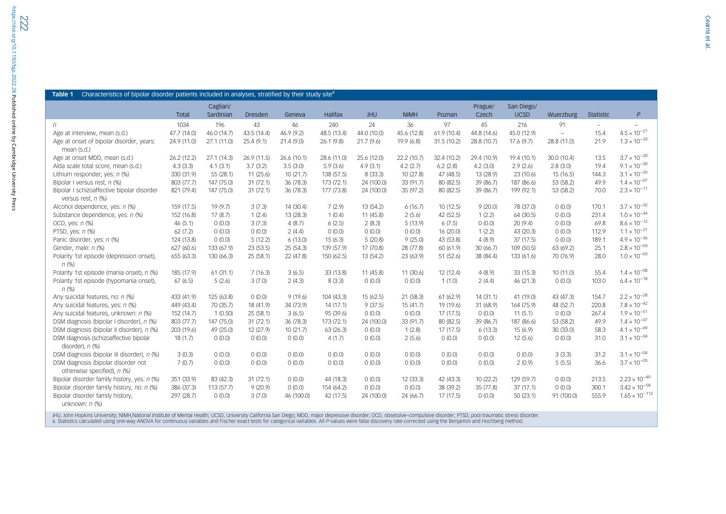<span id="page-3-0"></span>

|                                                                  | <b>Total</b> | Cagliari/<br>Sardinian | <b>Dresden</b> | Geneva      | Halifax     | <b>JHU</b>  | <b>NIMH</b> | Poznan      | Prague/<br>Czech | San Diego/<br><b>UCSD</b> | Wuerzburg                | Statistic | $\mathsf{P}$          |
|------------------------------------------------------------------|--------------|------------------------|----------------|-------------|-------------|-------------|-------------|-------------|------------------|---------------------------|--------------------------|-----------|-----------------------|
| n                                                                | 1034         | 196                    | 43             | 46          | 240         | 24          | 36          | 97          | 45               | 216                       | 91                       |           |                       |
| Age at interview, mean (s.d.)                                    | 47.7 (14.0)  | 46.0 (14.7)            | 43.5 (14.4)    | 46.9 (9.2)  | 48.5 (13.4) | 44.0 (10.0) | 45.6 (12.8) | 61.9(10.4)  | 44.8 (14.6)      | 45.0 (12.9)               | $\overline{\phantom{a}}$ | 15.4      | $4.5 \times 10^{-21}$ |
| Age at onset of bipolar disorder, years:<br>mean (s.d.)          | 24.9 (11.0)  | 27.1 (11.0)            | 25.4 (9.1)     | 21.4(9.0)   | 26.1(9.8)   | 21.7(9.6)   | 19.9 (6.8)  | 31.5 (10.2) | 28.8 (10.7)      | 17.6(9.7)                 | 28.8 (11.0)              | 21.9      | $1.3 \times 10^{-33}$ |
| Age at onset MDD, mean (s.d.)                                    | 26.2 (12.2)  | 27.1 (14.3)            | 26.9 (11.5)    | 26.6 (10.1) | 28.6 (11.0) | 25.6 (12.0) | 22.2 (10.7) | 32.4 (10.2) | 29.4 (10.9)      | 19.4 (10.1)               | 30.0 (10.4)              | 13.5      | $3.7 \times 10^{-20}$ |
| Alda scale total score, mean (s.d.)                              | 4.3(3.3)     | 4.1(3.1)               | 3.7(3.2)       | 3.5(3.0)    | 5.9(3.6)    | 4.9(3.1)    | 4.2(2.7)    | 6.2(2.8)    | 4.2(3.0)         | 2.9(2.6)                  | 2.8(3.0)                 | 19.4      | $9.1 \times 10^{-30}$ |
| Lithium responder, yes: n (%)                                    | 330 (31.9)   | 55 (28.1)              | 11(25.6)       | 10(21.7)    | 138 (57.5)  | 8 (33.3)    | 10(27.8)    | 47 (48.5)   | 13 (28.9)        | 23 (10.6)                 | 15(16.5)                 | 144.3     | $3.1 \times 10^{-26}$ |
| Bipolar I versus rest, n (%)                                     | 803 (77.7)   | 147 (75.0)             | 31(72.1)       | 36(78.3)    | 173 (72.1)  | 24 (100.0)  | 33 (91.7)   | 80 (82.5)   | 39 (86.7)        | 187 (86.6)                | 53 (58.2)                | 49.9      | $1.4 \times 10^{-07}$ |
| Bipolar I schizoaffective bipolar disorder<br>versus rest, n (%) | 821 (79.4)   | 147 (75.0)             | 31(72.1)       | 36 (78.3)   | 177 (73.8)  | 24 (100.0)  | 35 (97.2)   | 80 (82.5)   | 39 (86.7)        | 199 (92.1)                | 53 (58.2)                | 70.0      | $2.3 \times 10^{-11}$ |
| Alcohol dependence, yes: n (%)                                   | 159 (17.5)   | 19(9.7)                | 3(7.3)         | 14(30.4)    | 7(2.9)      | 13 (54.2)   | 6(16.7)     | 10(12.5)    | 9(20.0)          | 78 (37.0)                 | 0(0.0)                   | 170.1     | $3.7 \times 10^{-32}$ |
| Substance dependence, yes: n (%)                                 | 152 (16.8)   | 17(8.7)                | 1(2.4)         | 13(28.3)    | 1(0.4)      | 11 (45.8)   | 2(5.6)      | 42 (52.5)   | 1(2.2)           | 64 (30.5)                 | 0(0.0)                   | 231.4     | $1.0 \times 10^{-44}$ |
| OCD, yes: n (%)                                                  | 46(5.1)      | 0(0.0)                 | 3(7.3)         | 4(8.7)      | 6(2.5)      | 2(8.3)      | 5(13.9)     | 6(7.5)      | 0(0.0)           | 20(9.4)                   | 0(0.0)                   | 69.8      | $8.6 \times 10^{-12}$ |
| PTSD, yes: $n$ (%)                                               | 62(7.2)      | 0(0.0)                 | 0(0.0)         | 2(4.4)      | 0(0.0)      | (0.0)       | 0(0.0)      | 16 (20.0)   | 1(2.2)           | 43 (20.3)                 | 0(0.0)                   | 112.9     | $1.1 \times 10^{-21}$ |
| Panic disorder, yes: n (%)                                       | 124 (13.8)   | 0(0.0)                 | 5(12.2)        | 6(13.0)     | 15(6.3)     | 5(20.8)     | 9(25.0)     | 43 (53.8)   | 4(8.9)           | 37(17.5)                  | 0(0.0)                   | 189.1     | $4.9 \times 10^{-36}$ |
| Gender, male: n (%)                                              | 627 (60.6)   | 133 (67.9)             | 23 (53.5)      | 25(54.3)    | 139 (57.9)  | 17 (70.8)   | 28 (77.8)   | 60 (61.9)   | 30(66.7)         | 109 (50.5)                | 63 (69.2)                | 25.1      | $2.8 \times 10^{-03}$ |
| Polarity 1st episode (depression onset),<br>$n$ (%)              | 655 (63.3)   | 130 (66.3)             | 25(58.1)       | 22 (47.8)   | 150 (62.5)  | 13 (54.2)   | 23 (63.9)   | 51 (52.6)   | 38 (84.4)        | 133 (61.6)                | 70 (76.9)                | 28.0      | $1.0 \times 10^{-03}$ |
| Polarity 1st episode (mania onset), n (%)                        | 185 (17.9)   | 61(31.1)               | 7(16.3)        | 3(6.5)      | 33 (13.8)   | 11 (45.8)   | 11(30.6)    | 12 (12.4)   | 4(8.9)           | 33(15.3)                  | 10(11.0)                 | 55.4      | $1.4 \times 10^{-08}$ |
| Polarity 1st episode (hypomania onset),<br>$n$ (%)               | 67(6.5)      | 5(2.6)                 | 3(7.0)         | 2(4.3)      | 8(3.3)      | 0(0.0)      | 0(0.0)      | 1(1.0)      | 2(4.4)           | 46 (21.3)                 | 0(0.0)                   | 103.0     | $6.4 \times 10^{-18}$ |
| Any suicidal features, no: n (%)                                 | 433 (41.9)   | 125 (63.8)             | 0(0.0)         | 9(19.6)     | 104 (43.3)  | 15 (62.5)   | 21(58.3)    | 61 (62.9)   | 14(31.1)         | 41 (19.0)                 | 43 (47.3)                | 154.7     | $2.2 \times 10^{-28}$ |
| Any suicidal features, yes: n (%)                                | 449 (43.4)   | 70 (35.7)              | 18 (41.9)      | 34 (73.9)   | 14(17.1)    | 9(37.5)     | 15(41.7)    | 19 (19.6)   | 31 (68.9)        | 164 (75.9)                | 48 (52.7)                | 220.8     | $7.8 \times 10^{-42}$ |
| Any suicidal features, unknown: n (%)                            | 152 (14.7)   | 1(0.50)                | 25(58.1)       | 3(6.5)      | 95 (39.6)   | 0(0.0)      | 0(0.0)      | 17(17.5)    | 0(0.0)           | 11(5.1)                   | 0(0.0)                   | 267.4     | $1.9 \times 10^{-51}$ |
| DSM diagnosis (bipolar I disorder), n (%)                        | 803 (77.7)   | 147 (75.0)             | 31(72.1)       | 36(78.3)    | 173 (72.1)  | 24 (100.0)  | 33 (91.7)   | 80 (82.5)   | 39 (86.7)        | 187 (86.6)                | 53 (58.2)                | 49.9      | $1.4 \times 10^{-07}$ |
| DSM diagnosis (bipolar II disorder), n (%)                       | 203 (19.6)   | 49 (25.0)              | 12 (27.9)      | 10(21.7)    | 63 (26.3)   | 0(0.0)      | 1(2.8)      | 17(17.5)    | 6(13.3)          | 15(6.9)                   | 30 (33.0)                | 58.3      | $4.1 \times 10^{-09}$ |
| DSM diagnosis (schizoaffective bipolar<br>disorder), $n$ $%$     | 18(1.7)      | 0(0.0)                 | 0(0.0)         | 0(0.0)      | 4(1.7)      | 0(0.0)      | 2(5.6)      | 0(0.0)      | 0(0.0)           | 12(5.6)                   | 0(0.0)                   | 31.0      | $3.1 \times 10^{-04}$ |
| DSM diagnosis (bipolar III disorder), n (%)                      | 3(0.3)       | 0(0.0)                 | 0(0.0)         | 0(0.0)      | 0(0.0)      | 0(0.0)      | 0(0.0)      | 0(0.0)      | 0(0.0)           | 0(0.0)                    | 3(3.3)                   | 31.2      | $3.1 \times 10^{-04}$ |

JHU, John Hopkins University; NIMH,National Institute of Mental Health; UCSD, University California San Diego; MDD, major depressive disorder; OCD, obsessive–compulsive disorder; PTSD, post-traumatic stress disorder. a. Statistics calculated using one-way ANOVA for continuous variables and Fischer exact tests for categorical variables. All P-values were false discovery rate-corrected using the Benjamini and Hochberg method.

 $7 \, (0.7)$  0  $(0.0)$  0  $(0.0)$  0  $(0.0)$  0  $(0.0)$  0  $(0.0)$  0  $(0.0)$  0  $(0.0)$  0  $(0.0)$  2  $(0.9)$  5 (5.5) 36.6 3.7 $\times$  10 $^{-05}$ 

<sup>297</sup> (28.7) <sup>0</sup> (0.0) <sup>3</sup> (7.0) <sup>46</sup> (100.0) <sup>42</sup> (17.5) <sup>24</sup> (100.0) <sup>24</sup> (66.7) <sup>17</sup> (17.5) <sup>0</sup> (0.0) <sup>50</sup> (23.1) <sup>91</sup> (100.0) 555.9 1.65 <sup>×</sup> <sup>10</sup>−<sup>112</sup>

Bipolar disorder family history, yes: n (%) 351 (33.9) 83 (42.3) 31 (72.1) 0 (0.0) 44 (18.3) 0 (0.0) 12 (33.3) 42 (43.3) 10 (22.2) 129 (59.7) 0 (0.0) 213.5 2.23 × 10<sup>-40</sup> Bipolar disorder family history, no: n (%) 386 (37.3) 113 (57.7) 9 (20.9) 0 (0.0) 154 (64.2) 0 (0.0) 0 (0.0) 38 (39.2) 35 (77.8) 37 (17.1) 0 (0.0) 300.1 3.42 × 10<sup>-58</sup>

DSM diagnosis (bipolar disorder not otherwise specified), <sup>n</sup> (%)

Bipolar disorder family history, unknown: *n (*%)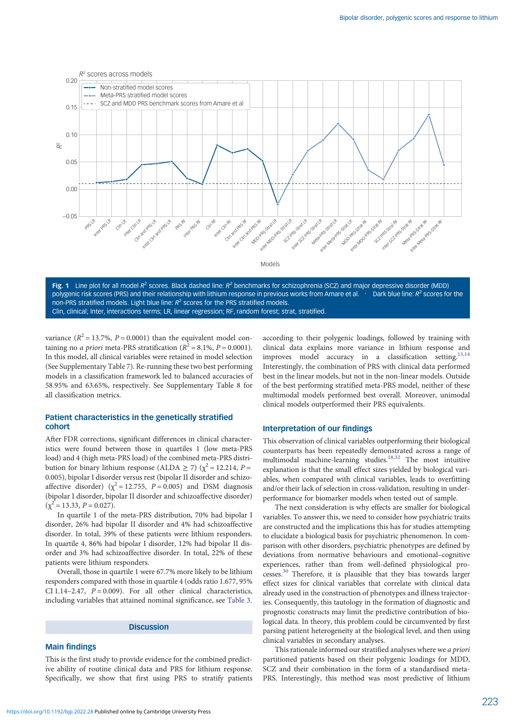<span id="page-4-0"></span>



variance  $(R^2 = 13.7\%, P = 0.0001)$  than the equivalent model containing no *a priori* meta-PRS stratification ( $R^2 = 8.1\%$ ,  $P = 0.0001$ ). In this model, all clinical variables were retained in model selection (See Supplementary Table 7). Re-running these two best performing models in a classification framework led to balanced accuracies of 58.95% and 63.65%, respectively. See Supplementary Table 8 for all classification metrics.

# Patient characteristics in the genetically stratified cohort

After FDR corrections, significant differences in clinical characteristics were found between those in quartiles 1 (low meta-PRS load) and 4 (high meta-PRS load) of the combined meta-PRS distribution for binary lithium response (ALDA  $\geq$  7) ( $\chi^2$  = 12.214, P = 0.005), bipolar I disorder versus rest (bipolar II disorder and schizoaffective disorder) ( $\chi^2 = 12.755$ ,  $P = 0.005$ ) and DSM diagnosis (bipolar I disorder, bipolar II disorder and schizoaffective disorder)  $(\chi^2 = 13.33, P = 0.027).$ 

In quartile 1 of the meta-PRS distribution, 70% had bipolar I disorder, 26% had bipolar II disorder and 4% had schizoaffective disorder. In total, 39% of these patients were lithium responders. In quartile 4, 86% had bipolar I disorder, 12% had bipolar II disorder and 3% had schizoaffective disorder. In total, 22% of these patients were lithium responders.

Overall, those in quartile 1 were 67.7% more likely to be lithium responders compared with those in quartile 4 (odds ratio 1.677, 95% CI 1.14–2.47,  $P = 0.009$ . For all other clinical characteristics, including variables that attained nominal significance, see [Table 3](#page-6-0).

### **Discussion**

### Main findings

This is the first study to provide evidence for the combined predictive ability of routine clinical data and PRS for lithium response. Specifically, we show that first using PRS to stratify patients according to their polygenic loadings, followed by training with clinical data explains more variance in lithium response and improves model accuracy in a classification setting.<sup>13,14</sup> Interestingly, the combination of PRS with clinical data performed best in the linear models, but not in the non-linear models. Outside of the best performing stratified meta-PRS model, neither of these multimodal models performed best overall. Moreover, unimodal clinical models outperformed their PRS equivalents.

### Interpretation of our findings

This observation of clinical variables outperforming their biological counterparts has been repeatedly demonstrated across a range of multimodal machine-learning studies.<sup>[18,32](#page-9-0)</sup> The most intuitive explanation is that the small effect sizes yielded by biological variables, when compared with clinical variables, leads to overfitting and/or their lack of selection in cross-validation, resulting in underperformance for biomarker models when tested out of sample.

The next consideration is why effects are smaller for biological variables. To answer this, we need to consider how psychiatric traits are constructed and the implications this has for studies attempting to elucidate a biological basis for psychiatric phenomenon. In comparison with other disorders, psychiatric phenotypes are defined by deviations from normative behaviours and emotional–cognitive experiences, rather than from well-defined physiological processes.[30](#page-9-0) Therefore, it is plausible that they bias towards larger effect sizes for clinical variables that correlate with clinical data already used in the construction of phenotypes and illness trajectories. Consequently, this tautology in the formation of diagnostic and prognostic constructs may limit the predictive contribution of biological data. In theory, this problem could be circumvented by first parsing patient heterogeneity at the biological level, and then using clinical variables in secondary analyses.

This rationale informed our stratified analyses where we a priori partitioned patients based on their polygenic loadings for MDD, SCZ and their combination in the form of a standardised meta-PRS. Interestingly, this method was most predictive of lithium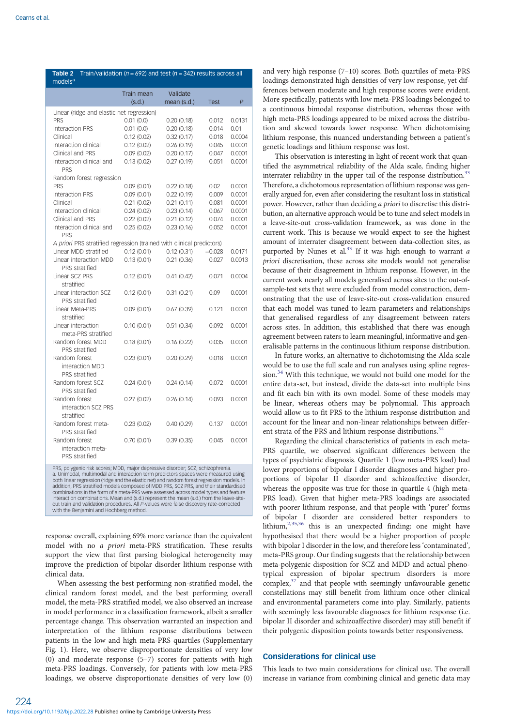<span id="page-5-0"></span>

| Table 2<br>models <sup>a</sup>                                                 | Train/validation ( $n = 692$ ) and test ( $n = 342$ ) results across all |                         |             |                |
|--------------------------------------------------------------------------------|--------------------------------------------------------------------------|-------------------------|-------------|----------------|
|                                                                                | <b>Train mean</b><br>(s.d.)                                              | Validate<br>mean (s.d.) | <b>Test</b> | $\overline{P}$ |
| Linear (ridge and elastic net regression)                                      |                                                                          |                         |             |                |
| PRS                                                                            | 0.01(0.0)                                                                | 0.20(0.18)              | 0.012       | 0.0131         |
| Interaction PRS                                                                | 0.01(0.0)                                                                | 0.20(0.18)              | 0.014       | 0.01           |
| Clinical                                                                       | 0.12(0.02)                                                               | 0.32(0.17)              | 0.018       | 0.0004         |
| Interaction clinical                                                           | 0.12(0.02)                                                               | 0.26(0.19)              | 0.045       | 0.0001         |
| Clinical and PRS                                                               | 0.09(0.02)                                                               | 0.20(0.17)              | 0.047       | 0.0001         |
| Interaction clinical and<br><b>PRS</b>                                         | 0.13(0.02)                                                               | 0.27(0.19)              | 0.051       | 0.0001         |
| Random forest regression                                                       |                                                                          |                         |             |                |
| <b>PRS</b>                                                                     | 0.09(0.01)                                                               | 0.22(0.18)              | 0.02        | 0.0001         |
| Interaction PRS                                                                | 0.09(0.01)                                                               | 0.22(0.19)              | 0.009       | 0.0001         |
| Clinical                                                                       | 0.21(0.02)                                                               | 0.21(0.11)              | 0.081       | 0.0001         |
| Interaction clinical                                                           | 0.24(0.02)                                                               | 0.23(0.14)              | 0.067       | 0.0001         |
| Clinical and PRS                                                               | 0.22(0.02)                                                               | 0.21(0.12)              | 0.074       | 0.0001         |
| Interaction clinical and<br>PRS                                                | 0.25(0.02)                                                               | 0.23(0.16)              | 0.052       | 0.0001         |
| A priori PRS stratified regression (trained with clinical predictors)          |                                                                          |                         |             |                |
| Linear MDD stratified                                                          | 0.12(0.01)                                                               | 0.12(0.31)              | $-0.028$    | 0.0171         |
| Linear interaction MDD<br>PRS stratified                                       | 0.13(0.01)                                                               | 0.21(0.36)              | 0.027       | 0.0013         |
| Linear SCZ PRS<br>stratified                                                   | 0.12(0.01)                                                               | 0.41(0.42)              | 0.071       | 0.0004         |
| Linear interaction SCZ<br>PRS stratified                                       | 0.12(0.01)                                                               | 0.31(0.21)              | 0.09        | 0.0001         |
| Linear Meta-PRS<br>stratified                                                  | 0.09(0.01)                                                               | 0.67(0.39)              | 0.121       | 0.0001         |
| Linear interaction<br>meta-PRS stratified                                      | 0.10(0.01)                                                               | 0.51(0.34)              | 0.092       | 0.0001         |
| Random forest MDD<br>PRS stratified                                            | 0.18(0.01)                                                               | 0.16(0.22)              | 0.035       | 0.0001         |
| Random forest<br>interaction MDD<br>PRS stratified                             | 0.23(0.01)                                                               | 0.20(0.29)              | 0.018       | 0.0001         |
| Random forest SCZ<br>PRS stratified                                            | 0.24(0.01)                                                               | 0.24(0.14)              | 0.072       | 0.0001         |
| Random forest<br>interaction SCZ PRS<br>stratified                             | 0.27(0.02)                                                               | 0.26(0.14)              | 0.093       | 0.0001         |
| Random forest meta-<br>PRS stratified                                          | 0.23(0.02)                                                               | 0.40(0.29)              | 0.137       | 0.0001         |
| Random forest<br>interaction meta-<br>PRS stratified                           | 0.70(0.01)                                                               | 0.39(0.35)              | 0.045       | 0.0001         |
| PRS, polygenic risk scores: MDD, major depressive disorder: SCZ, schizophrenia |                                                                          |                         |             |                |

PRS, polygenic risk scores; MDD, major depressive disorder; SCZ, schizophrenia. a. Unimodal, multimodal and interaction term predictors spaces were measured using both linear regression (ridge and the elastic net) and random forest regression models. In addition, PRS stratified models composed of MDD PRS, SCZ PRS, and their standardised combinations in the form of a meta-PRS were assessed across model types and feature interaction combinations. Mean and (s.d.) represent the mean (s.d.) from the leave-siteout train and validation procedures. All P-values were false discovery rate-corrected with the Benjamini and Hochberg method.

response overall, explaining 69% more variance than the equivalent model with no a priori meta-PRS stratification. These results support the view that first parsing biological heterogeneity may improve the prediction of bipolar disorder lithium response with clinical data.

When assessing the best performing non-stratified model, the clinical random forest model, and the best performing overall model, the meta-PRS stratified model, we also observed an increase in model performance in a classification framework, albeit a smaller percentage change. This observation warranted an inspection and interpretation of the lithium response distributions between patients in the low and high meta-PRS quartiles (Supplementary Fig. 1). Here, we observe disproportionate densities of very low (0) and moderate response (5–7) scores for patients with high meta-PRS loadings. Conversely, for patients with low meta-PRS loadings, we observe disproportionate densities of very low (0)

and very high response (7–10) scores. Both quartiles of meta-PRS loadings demonstrated high densities of very low response, yet differences between moderate and high response scores were evident. More specifically, patients with low meta-PRS loadings belonged to a continuous bimodal response distribution, whereas those with high meta-PRS loadings appeared to be mixed across the distribution and skewed towards lower response. When dichotomising lithium response, this nuanced understanding between a patient's genetic loadings and lithium response was lost.

This observation is interesting in light of recent work that quantified the asymmetrical reliability of the Alda scale, finding higher interrater reliability in the upper tail of the response distribution.<sup>33</sup> Therefore, a dichotomous representation of lithium response was generally argued for, even after considering the resultant loss in statistical power. However, rather than deciding a priori to discretise this distribution, an alternative approach would be to tune and select models in a leave-site-out cross-validation framework, as was done in the current work. This is because we would expect to see the highest amount of interrater disagreement between data-collection sites, as purported by Nunes et al.<sup>33</sup> If it was high enough to warrant  $a$ priori discretisation, these across site models would not generalise because of their disagreement in lithium response. However, in the current work nearly all models generalised across sites to the out-ofsample-test sets that were excluded from model construction, demonstrating that the use of leave-site-out cross-validation ensured that each model was tuned to learn parameters and relationships that generalised regardless of any disagreement between raters across sites. In addition, this established that there was enough agreement between raters to learn meaningful, informative and generalisable patterns in the continuous lithium response distribution.

In future works, an alternative to dichotomising the Alda scale would be to use the full scale and run analyses using spline regres $s$ ion.<sup>[34](#page-9-0)</sup> With this technique, we would not build one model for the entire data-set, but instead, divide the data-set into multiple bins and fit each bin with its own model. Some of these models may be linear, whereas others may be polynomial. This approach would allow us to fit PRS to the lithium response distribution and account for the linear and non-linear relationships between different strata of the PRS and lithium response distributions.<sup>3</sup>

Regarding the clinical characteristics of patients in each meta-PRS quartile, we observed significant differences between the types of psychiatric diagnosis. Quartile 1 (low meta-PRS load) had lower proportions of bipolar I disorder diagnoses and higher proportions of bipolar II disorder and schizoaffective disorder, whereas the opposite was true for those in quartile 4 (high meta-PRS load). Given that higher meta-PRS loadings are associated with poorer lithium response, and that people with 'purer' forms of bipolar I disorder are considered better responders to lithium,[2](#page-8-0),[35](#page-9-0),[36](#page-9-0) this is an unexpected finding: one might have hypothesised that there would be a higher proportion of people with bipolar I disorder in the low, and therefore less 'contaminated', meta-PRS group. Our finding suggests that the relationship between meta-polygenic disposition for SCZ and MDD and actual phenotypical expression of bipolar spectrum disorders is more complex, $37$  and that people with seemingly unfavourable genetic constellations may still benefit from lithium once other clinical and environmental parameters come into play. Similarly, patients with seemingly less favourable diagnoses for lithium response (i.e. bipolar II disorder and schizoaffective disorder) may still benefit if their polygenic disposition points towards better responsiveness.

# Considerations for clinical use

This leads to two main considerations for clinical use. The overall increase in variance from combining clinical and genetic data may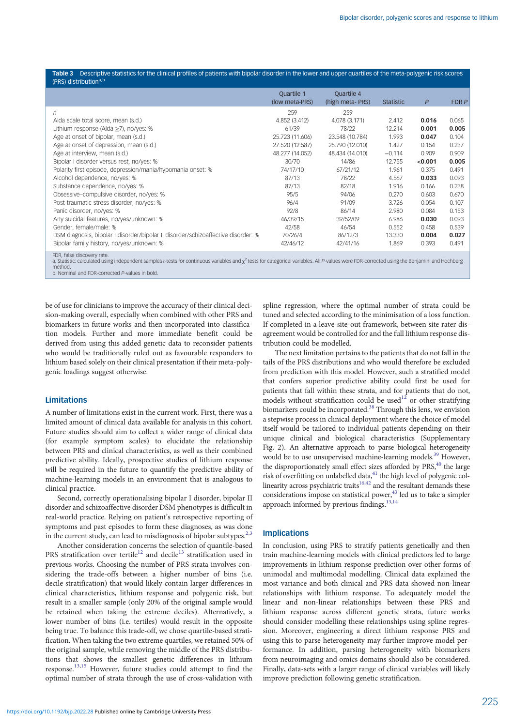<span id="page-6-0"></span>

|                                   | <b>Table 3</b> Descriptive statistics for the clinical profiles of patients with bipolar disorder in the lower and upper quartiles of the meta-polygenic risk scores |
|-----------------------------------|----------------------------------------------------------------------------------------------------------------------------------------------------------------------|
| (PRS) distribution <sup>a,b</sup> |                                                                                                                                                                      |

|                                                                                   | Quartile 1<br>(low meta-PRS) | Quartile 4<br>(high meta-PRS) | <b>Statistic</b> | $\mathsf{P}$ | FDR P |
|-----------------------------------------------------------------------------------|------------------------------|-------------------------------|------------------|--------------|-------|
| n                                                                                 | 259                          | 259                           |                  |              |       |
| Alda scale total score, mean (s.d.)                                               | 4.852 (3.412)                | 4.078 (3.171)                 | 2.412            | 0.016        | 0.065 |
| Lithium response (Alda ≥7), no/yes: %                                             | 61/39                        | 78/22                         | 12.214           | 0.001        | 0.005 |
| Age at onset of bipolar, mean (s.d.)                                              | 25.723 (11.606)              | 23.548 (10.784)               | 1.993            | 0.047        | 0.104 |
| Age at onset of depression, mean (s.d.)                                           | 27.520 (12.587)              | 25.790 (12.010)               | 1.427            | 0.154        | 0.237 |
| Age at interview, mean (s.d.)                                                     | 48.277 (14.052)              | 48.434 (14.010)               | $-0.114$         | 0.909        | 0.909 |
| Bipolar I disorder versus rest, no/yes: %                                         | 30/70                        | 14/86                         | 12.755           | < 0.001      | 0.005 |
| Polarity first episode, depression/mania/hypomania onset: %                       | 74/17/10                     | 67/21/12                      | 1.961            | 0.375        | 0.491 |
| Alcohol dependence, no/yes: %                                                     | 87/13                        | 78/22                         | 4.567            | 0.033        | 0.093 |
| Substance dependence, no/yes: %                                                   | 87/13                        | 82/18                         | 1.916            | 0.166        | 0.238 |
| Obsessive-compulsive disorder, no/yes: %                                          | 95/5                         | 94/06                         | 0.270            | 0.603        | 0.670 |
| Post-traumatic stress disorder, no/yes: %                                         | 96/4                         | 91/09                         | 3.726            | 0.054        | 0.107 |
| Panic disorder, no/yes: %                                                         | 92/8                         | 86/14                         | 2.980            | 0.084        | 0.153 |
| Any suicidal features, no/yes/unknown: %                                          | 46/39/15                     | 39/52/09                      | 6.986            | 0.030        | 0.093 |
| Gender, female/male: %                                                            | 42/58                        | 46/54                         | 0.552            | 0.458        | 0.539 |
| DSM diagnosis, bipolar I disorder/bipolar II disorder/schizoaffective disorder: % | 70/26/4                      | 86/12/3                       | 13.330           | 0.004        | 0.027 |
| Bipolar family history, no/yes/unknown: %                                         | 42/46/12                     | 42/41/16                      | 1.869            | 0.393        | 0.491 |
| EDR false discovery rate                                                          |                              |                               |                  |              |       |

FDR, false discovery rate.<br>a. Statistic: calculated using independent samples t-tests for continuous variables and  $\chi^2$  tests for categorical variables. All *P-v*alues were FDR-corrected using the Benjamini and Hochberg method.

b. Nominal and FDR-corrected P-values in bold.

be of use for clinicians to improve the accuracy of their clinical decision-making overall, especially when combined with other PRS and biomarkers in future works and then incorporated into classification models. Further and more immediate benefit could be derived from using this added genetic data to reconsider patients who would be traditionally ruled out as favourable responders to lithium based solely on their clinical presentation if their meta-polygenic loadings suggest otherwise.

# **Limitations**

A number of limitations exist in the current work. First, there was a limited amount of clinical data available for analysis in this cohort. Future studies should aim to collect a wider range of clinical data (for example symptom scales) to elucidate the relationship between PRS and clinical characteristics, as well as their combined predictive ability. Ideally, prospective studies of lithium response will be required in the future to quantify the predictive ability of machine-learning models in an environment that is analogous to clinical practice.

Second, correctly operationalising bipolar I disorder, bipolar II disorder and schizoaffective disorder DSM phenotypes is difficult in real-world practice. Relying on patient's retrospective reporting of symptoms and past episodes to form these diagnoses, as was done in the current study, can lead to misdiagnosis of bipolar subtypes.<sup>[2,3](#page-8-0)</sup>

Another consideration concerns the selection of quantile-based PRS stratification over tertile<sup>12</sup> and decile<sup>[13](#page-8-0)</sup> stratification used in previous works. Choosing the number of PRS strata involves considering the trade-offs between a higher number of bins (i.e. decile stratification) that would likely contain larger differences in clinical characteristics, lithium response and polygenic risk, but result in a smaller sample (only 20% of the original sample would be retained when taking the extreme deciles). Alternatively, a lower number of bins (i.e. tertiles) would result in the opposite being true. To balance this trade-off, we chose quartile-based stratification. When taking the two extreme quartiles, we retained 50% of the original sample, while removing the middle of the PRS distributions that shows the smallest genetic differences in lithium response.[13](#page-8-0),[15](#page-8-0) However, future studies could attempt to find the optimal number of strata through the use of cross-validation with

spline regression, where the optimal number of strata could be tuned and selected according to the minimisation of a loss function. If completed in a leave-site-out framework, between site rater disagreement would be controlled for and the full lithium response distribution could be modelled.

The next limitation pertains to the patients that do not fall in the tails of the PRS distributions and who would therefore be excluded from prediction with this model. However, such a stratified model that confers superior predictive ability could first be used for patients that fall within these strata, and for patients that do not, models without stratification could be used<sup>[12](#page-8-0)</sup> or other stratifying biomarkers could be incorporated.<sup>[38](#page-9-0)</sup> Through this lens, we envision a stepwise process in clinical deployment where the choice of model itself would be tailored to individual patients depending on their unique clinical and biological characteristics (Supplementary Fig. 2). An alternative approach to parse biological heterogeneity would be to use unsupervised machine-learning models.<sup>39</sup> However, the disproportionately small effect sizes afforded by PRS,<sup>40</sup> the large risk of overfitting on unlabelled data,<sup>41</sup> the high level of polygenic col-linearity across psychiatric traits<sup>16[,42](#page-9-0)</sup> and the resultant demands these considerations impose on statistical power,<sup>43</sup> led us to take a simpler approach informed by previous findings.<sup>13,[14](#page-8-0)</sup>

### Implications

In conclusion, using PRS to stratify patients genetically and then train machine-learning models with clinical predictors led to large improvements in lithium response prediction over other forms of unimodal and multimodal modelling. Clinical data explained the most variance and both clinical and PRS data showed non-linear relationships with lithium response. To adequately model the linear and non-linear relationships between these PRS and lithium response across different genetic strata, future works should consider modelling these relationships using spline regression. Moreover, engineering a direct lithium response PRS and using this to parse heterogeneity may further improve model performance. In addition, parsing heterogeneity with biomarkers from neuroimaging and omics domains should also be considered. Finally, data-sets with a larger range of clinical variables will likely improve prediction following genetic stratification.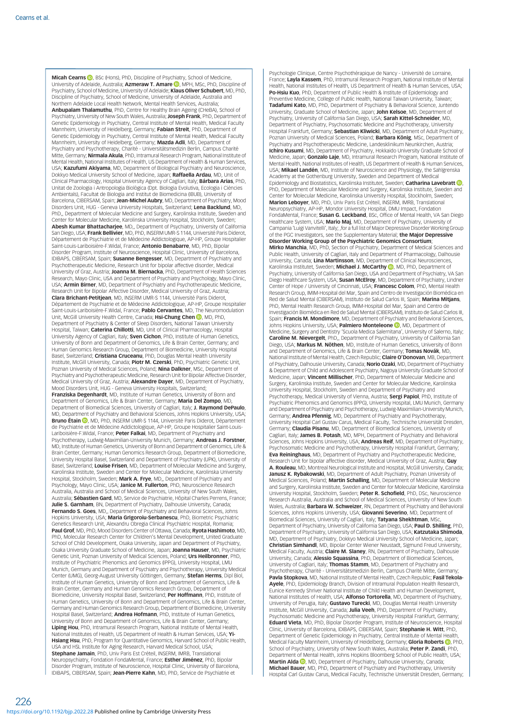Micah Cearns **D**, BSc (Hons), PhD, Discipline of Psychiatry, School of Medicine, University of Adelaide[,](https://orcid.org/0000-0002-7940-0335) Australia; Azmeraw T. Amare (D, MPH, MSc, PhD, Discipline of Psychiatry, School of Medicine, University of Adelaide; Klaus Oliver Schubert, MD, PhD, Discipline of Psychiatry, School of Medicine, University of Adelaide, Australia and Northern Adelaide Local Health Network, Mental Health Services, Australia; Anbupalam Thalamuthu, PhD, Centre for Healthy Brain Ageing (CHeBA), School of Psychiatry, University of New South Wales, Australia; Joseph Frank, PhD, Department of Genetic Epidemiology in Psychiatry, Central Institute of Mental Health, Medical Faculty Mannheim, University of Heidelberg, Germany; Fabian Streit, PhD, Department of Genetic Epidemiology in Psychiatry, Central Institute of Mental Health, Medical Faculty Mannheim, University of Heidelberg, Germany; Mazda Adli, MD, Department of Psychiatry and Psychotherapy, Charité - Universitätsmedizin Berlin, Campus Charité Mitte, Germany; **Nirmala Akula**, PhD, Intramural Research Program, National Institute of Mental Health, National Institutes of Health, US Department of Health & Human Services, USA; Kazufumi Akiyama, MD, Department of Biological Psychiatry and Neuroscience, Dokkyo Medical University School of Medicine, Japan; Raffaella Ardau, MD, Unit of Clinical Pharmacology, Hospital University Agency of Cagliari, Italy; Bárbara Arias, PhD, Unitat de Zoologia i Antropologia Biològica (Dpt. Biologia Evolutiva, Ecologia i Ciències Ambientals), Facultat de Biologia and Institut de Biomedicina (IBUB), University of Barcelona, CIBERSAM, Spain; Jean-Michel Aubry, MD, Department of Psychiatry, Mood Disorders Unit, HUG - Geneva University Hospitals, Switzerland; Lena Backlund, MD, PhD,, Department of Molecular Medicine and Surgery, Karolinska Institute, Sweden and Center for Molecular Medicine, Karolinska University Hospital, Stockholm, Sweden; Abesh Kumar Bhattachariee, MD., Department of Psychiatry, University of California San Diego, USA; Frank Bellivier, MD, PhD, INSERM UMR-S 1144, Université Paris Diderot, Département de Psychiatrie et de Médecine Addictologique, AP-HP, Groupe Hospitalier Saint-Louis-Lariboisière-F. Widal, France; Antonio Benabarre, MD, PhD, Bipolar Disorder Program, Institute of Neuroscience, Hospital Clinic, University of Barcelona, IDIBAPS, CIBERSAM, Spain; Susanne Bengesser, MD, Department of Psychiatry and Psychotherapeutic Medicine, Research Unit for bipolar affective disorder, Medical<br>University of Graz, Austria; **Joanna M. Biernacka**, PhD, Department of Health Sciences Research, Mayo Clinic, USA and Department of Psychiatry and Psychology, Mayo Clinic, USA; Armin Birner, MD, Department of Psychiatry and Psychotherapeutic Medicine, arch Unit for Bipolar Affective Disorder, Medical University of Graz, Austria; Clara Brichant-Petitjean, MD, INSERM UMR-S 1144, Université Paris Diderot, Département de Psychiatrie et de Médecine Addictologique, AP-HP, Groupe Hospitalier Saint-Louis-Lariboisière-F. Widal, France: Pablo Cervantes, MD, The Neuromodulation Unit[,](https://orcid.org/0000-0003-3191-0093) McGill University Health Centre, Canada; Hsi-Chung Chen (D, MD, PhD, Department of Psychiatry & Center of Sleep Disorders, National Taiwan University Hospital, Taiwan; Caterina Chillotti, MD, Unit of Clinical Pharmacology, Hospital University Agency of Cagliari, Italy; Sven Cichon, PhD, Institute of Human Genetics University of Bonn and Department of Genomics, Life & Brain Center, Germany; and Human Genomics Research Group, Department of Biomedicine, University Hospital Basel, Switzerland; Cristiana Cruceanu, PhD, Douglas Mental Health University Institute, McGill University, Canada; Piotr M. Czerski, PhD, Psychiatric Genetic Unit, Poznan University of Medical Sciences, Poland; **Nina Dalkner**, MSc, Department of<br>Psychiatry and Psychotherapeutic Medicine, Research Unit for Bipolar Affective Disorder, Medical University of Graz, Austria; **Alexandre Dayer**, MD, Department of Psychiatry, Mood Disorders Unit, HUG - Geneva University Hospitals, Switzerland;<br>**Franziska Degenhardt**, MD, Institute of Human Genetics, University of Bonn and Genomics, Life & Brain Center, Germany; Maria Del Zompo, MD Department of Biomedical Sciences, University of Cagliari, Italy; **J. Raymond DePaulo,**<br>MD, Department of Psychiatry and Behavioral Sciences, Johns Hopkins University, USA; Bruno Étain <sup>(b</sup>[,](https://orcid.org/0000-0002-5377-1488) MD, PhD, INSERM UMR-S 1144, Université Paris Diderot, Département de Psychiatrie et de Médecine Addictologique, AP-HP, Groupe Hospitalier Saint-Louis-<br>Lariboisière-F.Widal, France; **Peter Falkai**, MD, Department of Psychiatry and sychotherapy, Ludwig-Maximilian-University Munich, Germany; Andreas J. Forstner, MD, Institute of Human Genetics, University of Bonn and Department of Genomics, Life & Brain Center, Germany; Human Genomics Research Group, Department of Biomedicine, University Hospital Basel, Switzerland and Department of Psychiatry (UPK), University of Basel, Switzerland; Louise Frisen, MD, Department of Molecular Medicine and Surgery, Karolinska Institute, Sweden and Center for Molecular Medicine, Karolinska University Hospital, Stockholm, Sweden; Mark A. Frye, MD,, Department of Psychiatry and Psychology, Mayo Clinic, USA; Janice M. Fullerton, PhD, Neuroscience Research Australia, Australia and School of Medical Sciences, University of New South Wales, Australia; Sébastien Gard, MD, Service de Psychiatrie, Hôpital Charles Perrens, France; **Julie S. Garnham**, BN, Department of Psychiatry, Dalhousie University, Canada;<br>**Fernando S. Goes,** MD,, Department of Psychiatry and Behavioral Sciences, Johns Hopkins University, USA; Maria Grigoroiu-Serbanescu, PhD, Biometric Psychiatric Genetics Research Unit, Alexandru Obregia Clinical Psychiatric Hospital, Romania;<br>**Paul Grof**, MD, PhD, Mood Disorders Center of Ottawa, Canada; **Ryota Hashimoto**, MD, PhD, Molecular Research Center for Children's Mental Development, United Graduate School of Child Development, Osaka University, Japan and Department of Psychiatry, Osaka University Graduate School of Medicine, Japan; Joanna Hauser, MD, Psychiatric Genetic Unit, Poznan University of Medical Sciences, Poland; Urs Heilbronner, PhD, Institute of Psychiatric Phenomics and Genomics (IPPG), University Hospital, LMU Munich, Germany and Department of Psychiatry and Psychotherapy, University Medical Center (UMG), Georg-August University Göttingen, Germany; Stefan Herms, Dipl Biol, Institute of Human Genetics, University of Bonn and Department of Genomics, Life & Brain Center, Germany and Human Genomics Research Group, Department of Biomedicine, University Hospital Basel, Switzerland; Per Hoffmann, PhD, Institute of Human Genetics, University of Bonn and Department of Genomics, Life & Brain Center, Germany and Human Genomics Research Group, Department of Biomedicine, University Hospital Basel, Switzerland; Andrea Hofmann, PhD, Institute of Human Genetics, University of Bonn and Department of Genomics, Life & Brain Center, Germany; Liping Hou, PhD, Intramural Research Program, National Institute of Mental Health National Institutes of Health, US Department of Health & Human Services, USA; Yi-Hsiang Hsu, PhD, Program for Quantitative Genomics, Harvard School of Public Health, USA and HSL Institute for Aging Research, Harvard Medical School, USA; Stephane Jamain, PhD, Univ Paris Est Créteil, INSERM, IMRB, Translational Neuropsychiatry, Fondation FondaMental, France; Esther Jiménez, PhD, Bipolar Disorder Program, Institute of Neuroscience, Hospital Clinic, University of Barcelona, IDIBAPS, CIBERSAM, Spain; Jean-Pierre Kahn, MD, PhD, Service de Psychiatrie et

Psychologie Clinique, Centre Psychothérapique de Nancy - Université de Lorraine, France; Layla Kassem, PhD, Intramural Research Program, National Institute of Mental Health, National Institutes of Health, US Department of Health & Human Services, USA; Po-Hsiu Kuo, PhD, Department of Public Health & Institute of Epidemiology and Preventive Medicine, College of Public Health, National Taiwan University, Taiwan; Tadafumi Kato, MD, PhD, Department of Psychiatry & Behavioral Science, Juntendo University, Graduate School of Medicine, Japan; John Kelsoe, MD, Department of Psychiatry, University of California San Diego, USA; Sarah Kittel-Schneider, MD, Department of Psychiatry, Psychosomatic Medicine and Psychotherapy, University Hospital Frankfurt, Germany; Sebastian Kliwicki, MD, Department of Adult Psychiatry, Poznan University of Medical Sciences, Poland; **Barbara König**, MSc, Department of Psychiatry and Psychotherapeutic Medicine, Landesklinikum Neunkirchen, Austria; Ichiro Kusumi, MD, Department of Psychiatry, Hokkaido University Graduate School of Medicine, Japan; Gonzalo Laje, MD, Intramural Research Program, National Institute of Mental Health, National Institutes of Health, US Department of Health & Human Services, USA; Mikael Landén, MD, Institute of Neuroscience and Physiology, the Sahlgrenska Academy at the Gothenburg University, Sweden and Department of Medical Epidemiology and Biostatistics[,](https://orcid.org/0000-0003-4987-2718) Karolinska Institutet, Sweden; Catharina Lavebratt <sup>1</sup> PhD, Department of Molecular Medicine and Surgery, Karolinska Institute, Sweden and Center for Molecular Medicine, Karolinska University Hospital, Stockholm, Sweden; **Marion Leboyer**, MD, PhD, Univ Paris Est Créteil, INSERM, IMRB, Translational<br>Neuropsychiatry, AP-HP, Mondor University Hospital, DMU Impact, Fondation FondaMental, France; Susan G. Leckband, BSc, Office of Mental Health, VA San Diego Healthcare System, USA; Mario Maj, MD, Department of Psychiatry, University of Campania 'Luigi Vanvitelli', Italy; ,for a full list of Major Depressive Disorder Working Group of the PGC Investigators, see the Supplementary Material; the Major Depressive Disorder Working Group of the Psychiatric Genomics Consortium; **Mirko Manchia**, MD, PhD, Section of Psychiatry, Department of Medical Sciences and<br>Public Health, University of Cagliari, Italy and Department of Pharmacology, Dalhousie University, Canada; Lina Martinsson, MD, Department of Clinical Neurosciences, Karolinska Institutet[,](https://orcid.org/0000-0001-6219-4945) Sweden; Michael J. McCarthy **D.** MD, PhD, Department of Psychiatry, University of California San Diego, USA and Department of Psychiatry, VA San Diego Healthcare System, USA; Susan McElroy, MD, Department of Psychiatry, Lindner Center of Hope / University of Cincinnati, USA; Francesc Colom, PhD, Mental Health Research Group, IMIM-Hospital del Mar, Spain and Centro de Investigación Biomédica en Red de Salud Mental (CIBERSAM), Instituto de Salud Carlos III, Spain; Marina Mitjans, PhD, Mental Health Research Group, IMIM-Hospital del Mar, Spain and Centro de Investigación Biomédica en Red de Salud Mental (CIBERSAM), Instituto de Salud Carlos III, Spain; Francis M. Mondimore, MD, Department of Psychiatry and Behavioral Sciences Johns Hopkins University, USA; Palmiero Monteleone **D**, MD, Department of Medicine, Surgery and Dentistry 'Scuola Medica Salernitana', University of Salerno, Italy; Caroline M. Nievergelt, PhD,, Department of Psychiatry, University of California San Diego, USA; Markus M. Nöthen, MD, Institute of Human Genetics, University of Bonn and Department of Genomics, Life & Brain Center, Germany; Tomas Novák, MD, National Institute of Mental Health, Czech Republic; Claire O'Donovan, MB, Department of Psychiatry, Dalhousie University, Canada; **Norio Ozaki**, MD, Department of Psychiatry<br>& Department of Child and Adolescent Psychiatry, Nagoya University Graduate School oi Medicine, Japan; Vincent Millischer, PhD, Department of Molecular Medicine and Surgery, Karolinska Institute, Sweden and Center for Molecular Medicine, Karolinska University Hospital, Stockholm, Sweden and Department of Psychiatry and Psychotherapy, Medical University of Vienna, Austria; Sergi Papiol, PhD, Institute of Psychiatric Phenomics and Genomics (IPPG), University Hospital, LMU Munich, Germany and Department of Psychiatry and Psychotherapy, Ludwig-Maximilian-University Munich, Germany; **Andrea Pfennig**, MD, Department of Psychiatry and Psychotherapy, University Hospital Carl Gustav Carus, Medical Faculty, Technische Universität Dresden,<br>Germany; **Claudia Pisanu**, MD, Department of Biomedical Sciences, University of Cagliari, Italy; James B. Potash, MD, MPH, Department of Psychiatry and Behavioral Sciences, Johns Hopkins University, USA; **Andreas Reif**, MD, Department of Psychiatry,<br>Psychosomatic Medicine and Psychotherapy, University Hospital Frankfurt, Germany; Eva Reininghaus, MD, Department of Psychiatry and Psychotherapeutic Medicine, Research Unit for bipolar affective disorder, Medical University of Graz, Austria; **Guy**<br>**A. Rouleau,** MD, Montreal Neurological Institute and Hospital, McGill University, Canada; Janusz K. Rybakowski, MD, Department of Adult Psychiatry, Poznan University of Medical Sciences, Poland; **Martin Schalling**, MD, Department of Molecular Medicine<br>and Surgery, Karolinska Institute, Sweden and Center for Molecular Medicine, Karolinska University Hospital, Stockholm, Sweden; Peter R. Schofield, PhD, DSc, Neuroscience Research Australia, Australia and School of Medical Sciences, University of New South<br>Wales, Australia; **Barbara W. Schweizer**, RN, Department of Psychiatry and Behaviora Sciences, Johns Hopkins University, USA; Giovanni Severino, MD, Department of Biomedical Sciences, University of Cagliari, Italy; **Tatyana Shekhtman**, MSc,<br>Department of Psychiatry, University of California San Diego, USA; **Paul D. Shilling**, PhD, Department of Psychiatry, University of California San Diego, USA; Katzutaka Shimoda, MD, Department of Psychiatry, Dokkyo Medical University School of Medicine, Japan;<br>**Christian Simhandl**, MD, Bipolar Center Wiener Neustadt, Sigmund Freud University, Medical Faculty, Austria; Claire M. Slaney, RN, Department of Psychiatry, Dalhousie University, Canada; **Alessio Squassina**, PhD, Department of Biomedical Sciences,<br>University of Cagliari, Italy; **Thomas Stamm**, MD, Department of Psychiatry and Psychotherapy, Charité - Universitätsmedizin Berlin, Campus Charité Mitte, Germany; **Pavla Stopkova**, MD, National Institute of Mental Health, Czech Republic**; Fasil Tekola**-<br>**Ayele**, PhD, Epidemiology Branch, Division of Intramural Population Health Research, Eunice Kennedy Shriver National Institute of Child Health and Human Development, National Institutes of Health, USA; **Alfonso Tortorella**, MD, Department of Psychiatry, University of Perugia, Italy; Gustavo Turecki, MD, Douglas Mental Health University Institute, McGill University, Canada; **Julia Veeh**, PhD, Department of Psychiatry, Psychosomatic Medicine and Psychotherapy, University Hospital Frankfurt, Germany;<br>**Eduard Vieta**, MD, PhD, Bipolar Disorder Program, Institute of Neuroscience, Hospita Clinic, University of Barcelona, IDIBAPS, CIBERSAM, Spain; Stephanie H. Witt, PhD, Department of Genetic Epidemiology in Psychiatry, Central Institute of Mental Health,<br>Medical Faculty Mannheim, University of Heidelberg, Germany; **Gloria Roberts ©**, PhD, School of Psychiatry, University of New South Wales, Australia; Peter P. Zandi, PhD Department of Mental Health[,](https://orcid.org/0000-0001-9544-3944) Johns Hopkins Bloomberg School of Public Health, USA;<br>**Martin Alda ©**, MD, Department of Psychiatry, Dalhousie University, Canada; Michael Bauer, MD, PhD, Department of Psychiatry and Psychotherapy, University Hospital Carl Gustav Carus, Medical Faculty, Technische Universität Dresden, Germany;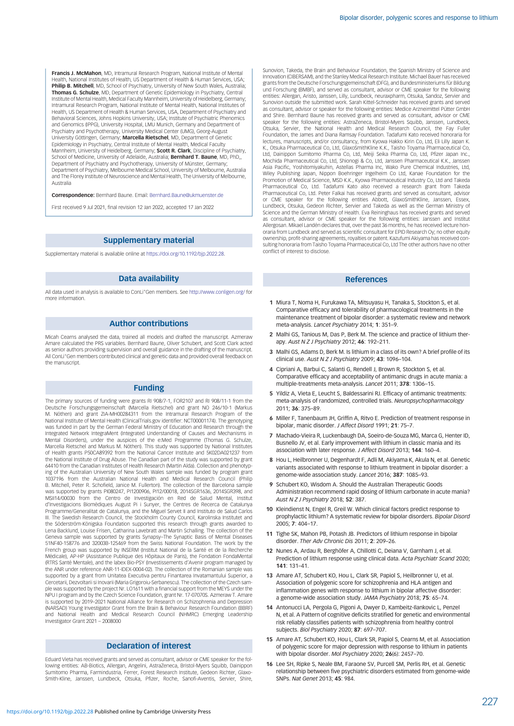<span id="page-8-0"></span>Francis J. McMahon, MD, Intramural Research Program, National Institute of Mental Health, National Institutes of Health, US Department of Health & Human Services, USA; Philip B. Mitchell, MD, School of Psychiatry, University of New South Wales, Australia; Thomas G. Schulze, MD, Department of Genetic Epidemiology in Psychiatry, Central Institute of Mental Health, Medical Faculty Mannheim, University of Heidelberg, Germany; Intramural Research Program, National Institute of Mental Health, National Institutes of Health, US Department of Health & Human Services, USA, Department of Psychiatry and Behavioral Sciences, Johns Hopkins University, USA; Institute of Psychiatric Phenomics and Genomics (IPPG), University Hospital, LMU Munich, Germany and Department of Psychiatry and Psychotherapy, University Medical Center (UMG), Georg-August University Göttingen, Germany; Marcella Rietschel, MD, Department of Genetic Epidemiology in Psychiatry, Central Institute of Mental Health, Medical Faculty<br>Mannheim, University of Heidelberg, Germany; **Scott R. Clark**, Discipline of Psychiatry, School of Medicine, University of Adelaide, Australia; **Bernhard T. Baune**, MD, PhD,, Department of Psychiatry and Psychotherapy, University of Münster, Germany; Department of Psychiatry, Melbourne Medical School, University of Melbourne, Australia and The Florey Institute of Neuroscience and Mental Health, The University of Melbourne, Australia

Correspondence: Bernhard Baune. Email: [Bernhard.Baune@ukmuenster.de](mailto:Bernhard.Baune@ukmuenster.de)

First received 9 Jul 2021, final revision 12 Jan 2022, accepted 17 Jan 2022

# Supplementary material

Supplementary material is available online at <https://doi.org/10.1192/bjp.2022.28>.

### Data availability

All data used in analysis is available to ConLi<sup>+</sup>Gen members. See <http://www.conligen.org/> for more information.

#### Author contributions

Micah Cearns analysed the data, trained all models and drafted the manuscript. Azmeraw Amare calculated the PRS variables. Bernhard Baune, Oliver Schubert, and Scott Clark acted as senior authors providing supervision and overall guidance in the drafting of the manuscript. All ConLi<sup>+</sup>Gen members contributed clinical and genetic data and provided overall feedback on the manuscript.

#### Funding

The primary sources of funding were grants RI 908/7-1, FOR2107 and RI 908/11-1 from the Deutsche Forschungsgemeinschaft (Marcella Rietschel) and grant NO 246/10-1 (Markus M. Nöthen) and grant ZIA-MH00284311 from the Intramural Research Program of the National Institute of Mental Health (ClinicalTrials.gov identifier: NCT00001174). The genotyping was funded in part by the German Federal Ministry of Education and Research through the Integrated Network IntegraMent (Integrated Understanding of Causes and Mechanisms in Mental Disorders), under the auspices of the e:Med Programme (Thomas G. Schulze, Marcella Rietschel and Markus M. Nöthen). This study was supported by National Institutes of Health grants P50CA89392 from the National Cancer Institute and 5K02DA021237 from the National Institute of Drug Abuse. The Canadian part of the study was supported by grant 64410 from the Canadian Institutes of Health Research (Martin Alda). Collection and phenotyping of the Australian University of New South Wales sample was funded by program grant 1037196 from the Australian National Health and Medical Research Council (Philip B. Mitchell, Peter R. Schofield, Janice M. Fullerton). The collection of the Barcelona sample was supported by grants PI080247, PI1200906, PI12/00018, 2014SGR1636, 2014SGR398, and MSII14/00030 from the Centro de Investigación en Red de Salud Mental, Institut d'Investigacions Biomèdiques August Pi i Sunyer, the Centres de Recerca de Catalunya Programme/Generalitat de Catalunya, and the Miguel Servet II and Instituto de Salud Carlos III. The Swedish Research Council, the Stockholm County Council, Karolinska Institutet and the Söderström-Königska Foundation supported this research through grants awarded to Lena Backlund, Louise Frisen, Catharina Lavebratt and Martin Schalling. The collection of the Geneva sample was supported by grants Synapsy–The Synaptic Basis of Mental Diseases 51NF40-158776 and 32003B-125469 from the Swiss National Foundation. The work by the French group was supported by INSERM (Institut National de la Santé et de la Recherche Médicale), AP-HP (Assistance Publique des Hôpitaux de Paris), the Fondation FondaMental (RTRS Santé Mentale), and the labex Bio-PSY (Investissements d'Avenir program managed by the ANR under reference ANR-11-IDEX-0004-02). The collection of the Romanian sample was supported by a grant from Unitatea Executiva pentru Finantarea Invatamantului Superior, a Cercetarii, Dezvoltarii si Inovarii (Maria Grigoroiu-Serbanescu). The collection of the Czech sam-ple was supported by the project Nr. LO1611 with a financial support from the MEYS under the NPU I program and by the Czech Science Foundation, grant Nr. 17-07070S. Azmeraw T. Amare is supported by 2019–2021 National Alliance for Research on Schizophrenia and Depression (NARSAD) Young Investigator Grant from the Brain & Behaviour Research Foundation (BBRF) and National Health and Medical Research Council (NHMRC) Emerging Leadership Investigator Grant 2021 – 2008000

# Declaration of interest

Eduard Vieta has received grants and served as consultant, advisor or CME speaker for the following entities: AB-Biotics, Allergan, Angelini, AstraZeneca, Bristol-Myers Squibb, Dainippon Sumitomo Pharma, Farmindustria, Ferrer, Forest Research Institute, Gedeon Richter, Glaxo-Smith-Kline, Janssen, Lundbeck, Otsuka, Pfizer, Roche, Sanofi-Aventis, Servier, Shire,

Sunovion, Takeda, the Brain and Behaviour Foundation, the Spanish Ministry of Science and Innovation (CIBERSAM), and the Stanley Medical Research Institute. Michael Bauer has received grants from the Deutsche Forschungsgemeinschaft (DFG), and Bundesministeriums für Bildung und Forschung (BMBF), and served as consultant, advisor or CME speaker for the following entities: Allergan, Aristo, Janssen, Lilly, Lundbeck, neuraxpharm, Otsuka, Sandoz, Servier and Sunovion outside the submitted work. Sarah Kittel-Schneider has received grants and served as consultant, advisor or speaker for the following entities: Medice Arzneimittel Pütter GmbH and Shire. Bernhard Baune has received grants and served as consultant, advisor or CME speaker for the following entities: AstraZeneca, Bristol-Myers Squibb, Janssen, Lundbeck, Otsuka, Servier, the National Health and Medical Research Council, the Fay Fuller Foundation, the James and Diana Ramsay Foundation. Tadafumi Kato received honoraria for lectures, manuscripts, and/or consultancy, from Kyowa Hakko Kirin Co, Ltd, Eli Lilly Japan K. K., Otsuka Pharmaceutical Co, Ltd, GlaxoSmithKline K.K., Taisho Toyama Pharmaceutical Co, Ltd, Dainippon Sumitomo Pharma Co, Ltd, Meiji Seika Pharma Co, Ltd, Pfizer Japan Inc. Mochida Pharmaceutical Co, Ltd, Shionogi & Co, Ltd, Janssen Pharmaceutical K.K., Janssen Asia Pacific, Yoshitomiyakuhin, Astellas Pharma Inc, Wako Pure Chemical Industries, Ltd, Wiley Publishing Japan, Nippon Boehringer Ingelheim Co Ltd, Kanae Foundation for the Promotion of Medical Science, MSD K.K., Kyowa Pharmaceutical Industry Co, Ltd and Takeda Pharmaceutical Co, Ltd. Tadafumi Kato also received a research grant from Takeda Pharmaceutical Co, Ltd. Peter Falkai has received grants and served as consultant, advisor or CME speaker for the following entities Abbott, GlaxoSmithKline, Janssen, Essex, Lundbeck, Otsuka, Gedeon Richter, Servier and Takeda as well as the German Ministry of Science and the German Ministry of Health. Eva Reininghaus has received grants and served as consultant, advisor or CME speaker for the following entities: Janssen and Institut Allergosan. Mikael Landén declares that, over the past 36 months, he has received lecture honoraria from Lundbeck and served as scientific consultant for EPID Research Oy; no other equity ownership, profit-sharing agreements, royalties or patent. Kazufumi Akiyama has received consulting honoraria from Taisho Toyama Pharmaceutical Co, Ltd The other authors have no other conflict of interest to disclose.

### References

- 1 Miura T, Noma H, Furukawa TA, Mitsuyasu H, Tanaka S, Stockton S, et al. Comparative efficacy and tolerability of pharmacological treatments in the maintenance treatment of bipolar disorder: a systematic review and network meta-analysis. Lancet Psychiatry 2014; 1: 351–9.
- 2 Malhi GS, Tanious M, Das P, Berk M, The science and practice of lithium therapy. Aust N Z J Psychiatry 2012; 46: 192–211.
- 3 Malhi GS, Adams D, Berk M. Is lithium in a class of its own? A brief profile of its clinical use. Aust N Z J Psychiatry 2009; 43: 1096-104
- 4 Cipriani A, Barbui C, Salanti G, Rendell J, Brown R, Stockton S, et al. Comparative efficacy and acceptability of antimanic drugs in acute mania: a multiple-treatments meta-analysis. Lancet 2011; 378: 1306–15.
- 5 Yildiz A, Vieta E, Leucht S, Baldessarini RJ. Efficacy of antimanic treatments: meta-analysis of randomized, controlled trials. Neuropsychopharmacology 2011; 36: 375–89.
- 6 Miller F, Tanenbaum JH, Griffin A, Ritvo E. Prediction of treatment response in bipolar, manic disorder. J Affect Disord 1991: 21: 75-7
- 7 Machado-Vieira R, Luckenbaugh DA, Soeiro-de-Souza MG, Marca G, Henter ID, Busnello JV, et al. Early improvement with lithium in classic mania and its association with later response. J Affect Disord 2013; 144: 160–4.
- 8 Hou L, Heilbronner U, Degenhardt F, Adli M, Akiyama K, Akula N, et al. Genetic variants associated with response to lithium treatment in bipolar disorder: a genome-wide association study. Lancet 2016; 387: 1085–93.
- 9 Schubert KO, Wisdom A. Should the Australian Therapeutic Goods Administration recommend rapid dosing of lithium carbonate in acute mania? Aust N Z J Psychiatry 2018; 52: 387.
- 10 Kleindienst N, Engel R, Greil W. Which clinical factors predict response to prophylactic lithium? A systematic review for bipolar disorders. Bipolar Disord 2005; 7: 404–17.
- 11 Tighe SK, Mahon PB, Potash JB. Predictors of lithium response in bipolar disorder. Ther Adv Chronic Dis 2011; 2: 209–26.
- 12 Nunes A, Ardau R, Berghöfer A, Chillotti C, Deiana V, Garnham J, et al. Prediction of lithium response using clinical data. Acta Psychiatr Scand 2020; 141: 131–41.
- 13 Amare AT, Schubert KO, Hou L, Clark SR, Papiol S, Heilbronner U, et al. Association of polygenic score for schizophrenia and HLA antigen and inflammation genes with response to lithium in bipolar affective disorder: a genome-wide association study. JAMA Psychiatry 2018; 75: 65–74.
- 14 Antonucci LA, Pergola G, Pigoni A, Dwyer D, Kambeitz-Ilankovic L, Penzel N, et al. A Pattern of cognitive deficits stratified for genetic and environmental risk reliably classifies patients with schizophrenia from healthy control subjects. Biol Psychiatry 2020; 87: 697–707.
- 15 Amare AT, Schubert KO, Hou L, Clark SR, Papiol S, Cearns M, et al. Association of polygenic score for major depression with response to lithium in patients with bipolar disorder. Mol Psychiatry 2020; 26(6): 2457-70.
- 16 Lee SH, Ripke S, Neale BM, Faraone SV, Purcell SM, Perlis RH, et al. Genetic relationship between five psychiatric disorders estimated from genome-wide SNPs. Nat Genet 2013; 45: 984.